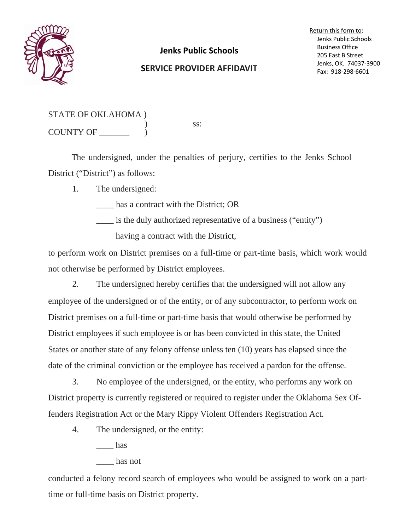

## **Jenks Public Schools**

## **SERVICE PROVIDER AFFIDAVIT**

Return this form to: Jenks Public Schools Business Office 205 East B Street Jenks, OK. 74037‐3900 Fax: 918‐298‐6601

| STATE OF OKLAHOMA) |  |
|--------------------|--|
| <b>COUNTY OF</b>   |  |

ss:

The undersigned, under the penalties of perjury, certifies to the Jenks School District ("District") as follows:

1. The undersigned:

has a contract with the District; OR

\_\_\_\_ is the duly authorized representative of a business ("entity")

having a contract with the District,

to perform work on District premises on a full-time or part-time basis, which work would not otherwise be performed by District employees.

2. The undersigned hereby certifies that the undersigned will not allow any employee of the undersigned or of the entity, or of any subcontractor, to perform work on District premises on a full-time or part-time basis that would otherwise be performed by District employees if such employee is or has been convicted in this state, the United States or another state of any felony offense unless ten (10) years has elapsed since the date of the criminal conviction or the employee has received a pardon for the offense.

 3. No employee of the undersigned, or the entity, who performs any work on District property is currently registered or required to register under the Oklahoma Sex Offenders Registration Act or the Mary Rippy Violent Offenders Registration Act.

4. The undersigned, or the entity:

has

## \_\_\_\_ has not

conducted a felony record search of employees who would be assigned to work on a parttime or full-time basis on District property.